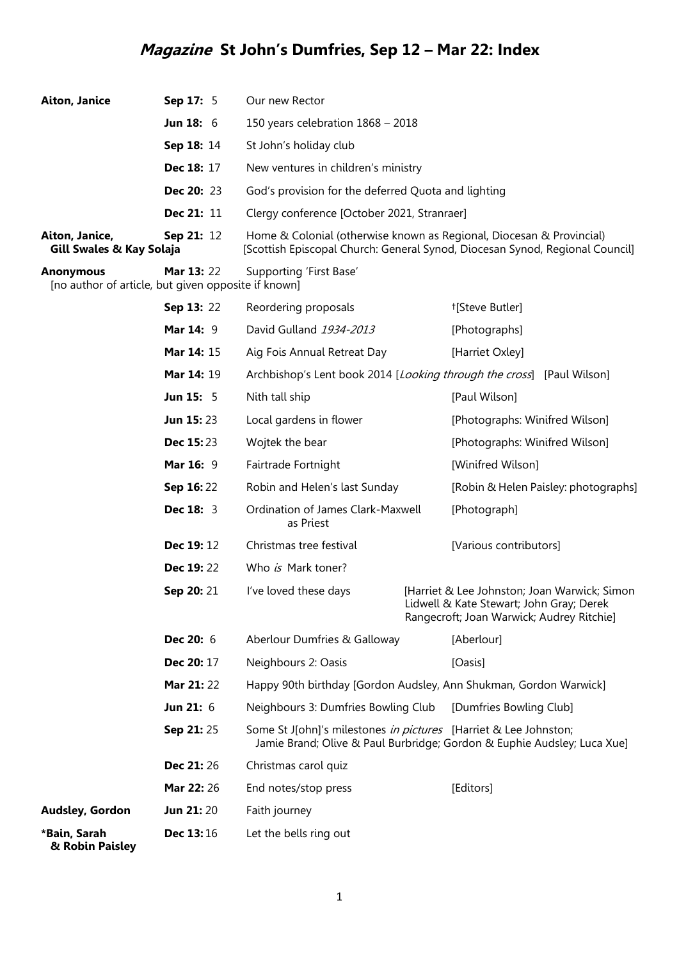## **Magazine St John's Dumfries, Sep 12 – Mar 22: Index**

| <b>Aiton, Janice</b><br>Sep 17: 5                                       |                    | Our new Rector                                                                                                                                       |
|-------------------------------------------------------------------------|--------------------|------------------------------------------------------------------------------------------------------------------------------------------------------|
|                                                                         | <b>Jun 18:</b> $6$ | 150 years celebration $1868 - 2018$                                                                                                                  |
|                                                                         | Sep 18: 14         | St John's holiday club                                                                                                                               |
|                                                                         | <b>Dec 18: 17</b>  | New ventures in children's ministry                                                                                                                  |
|                                                                         | <b>Dec 20: 23</b>  | God's provision for the deferred Quota and lighting                                                                                                  |
|                                                                         | <b>Dec 21: 11</b>  | Clergy conference [October 2021, Stranraer]                                                                                                          |
| Aiton, Janice,<br>Gill Swales & Kay Solaja                              | <b>Sep 21: 12</b>  | Home & Colonial (otherwise known as Regional, Diocesan & Provincial)<br>[Scottish Episcopal Church: General Synod, Diocesan Synod, Regional Council] |
| <b>Anonymous</b><br>[no author of article, but given opposite if known] | <b>Mar 13: 22</b>  | Supporting 'First Base'                                                                                                                              |

|                                 | Sep 13: 22       | Reordering proposals                                              | <sup>†</sup> [Steve Butler]                                                                                                           |
|---------------------------------|------------------|-------------------------------------------------------------------|---------------------------------------------------------------------------------------------------------------------------------------|
|                                 | <b>Mar 14: 9</b> | David Gulland 1934-2013                                           | [Photographs]                                                                                                                         |
|                                 | Mar 14: 15       | Aig Fois Annual Retreat Day                                       | [Harriet Oxley]                                                                                                                       |
|                                 | Mar 14: 19       |                                                                   | Archbishop's Lent book 2014 [Looking through the cross] [Paul Wilson]                                                                 |
|                                 | <b>Jun 15: 5</b> | Nith tall ship                                                    | [Paul Wilson]                                                                                                                         |
|                                 | <b>Jun 15:23</b> | Local gardens in flower                                           | [Photographs: Winifred Wilson]                                                                                                        |
|                                 | <b>Dec 15:23</b> | Wojtek the bear                                                   | [Photographs: Winifred Wilson]                                                                                                        |
|                                 | Mar 16: 9        | Fairtrade Fortnight                                               | [Winifred Wilson]                                                                                                                     |
|                                 | Sep 16:22        | Robin and Helen's last Sunday                                     | [Robin & Helen Paisley: photographs]                                                                                                  |
|                                 | <b>Dec 18: 3</b> | Ordination of James Clark-Maxwell<br>as Priest                    | [Photograph]                                                                                                                          |
|                                 | Dec 19:12        | Christmas tree festival                                           | [Various contributors]                                                                                                                |
|                                 | Dec 19:22        | Who is Mark toner?                                                |                                                                                                                                       |
|                                 | Sep 20: 21       | I've loved these days                                             | [Harriet & Lee Johnston; Joan Warwick; Simon<br>Lidwell & Kate Stewart; John Gray; Derek<br>Rangecroft; Joan Warwick; Audrey Ritchie] |
|                                 | Dec 20: 6        | Aberlour Dumfries & Galloway                                      | [Aberlour]                                                                                                                            |
|                                 | Dec 20: 17       | Neighbours 2: Oasis                                               | [Oasis]                                                                                                                               |
|                                 | Mar 21:22        | Happy 90th birthday [Gordon Audsley, Ann Shukman, Gordon Warwick] |                                                                                                                                       |
|                                 | Jun 21: 6        | Neighbours 3: Dumfries Bowling Club                               | [Dumfries Bowling Club]                                                                                                               |
|                                 | Sep 21:25        | Some St J[ohn]'s milestones in pictures [Harriet & Lee Johnston;  | Jamie Brand; Olive & Paul Burbridge; Gordon & Euphie Audsley; Luca Xue]                                                               |
|                                 | Dec 21:26        | Christmas carol quiz                                              |                                                                                                                                       |
|                                 | Mar 22: 26       | End notes/stop press                                              | [Editors]                                                                                                                             |
| Audsley, Gordon                 | Jun 21:20        | Faith journey                                                     |                                                                                                                                       |
| *Bain, Sarah<br>& Robin Paisley | Dec 13:16        | Let the bells ring out                                            |                                                                                                                                       |

1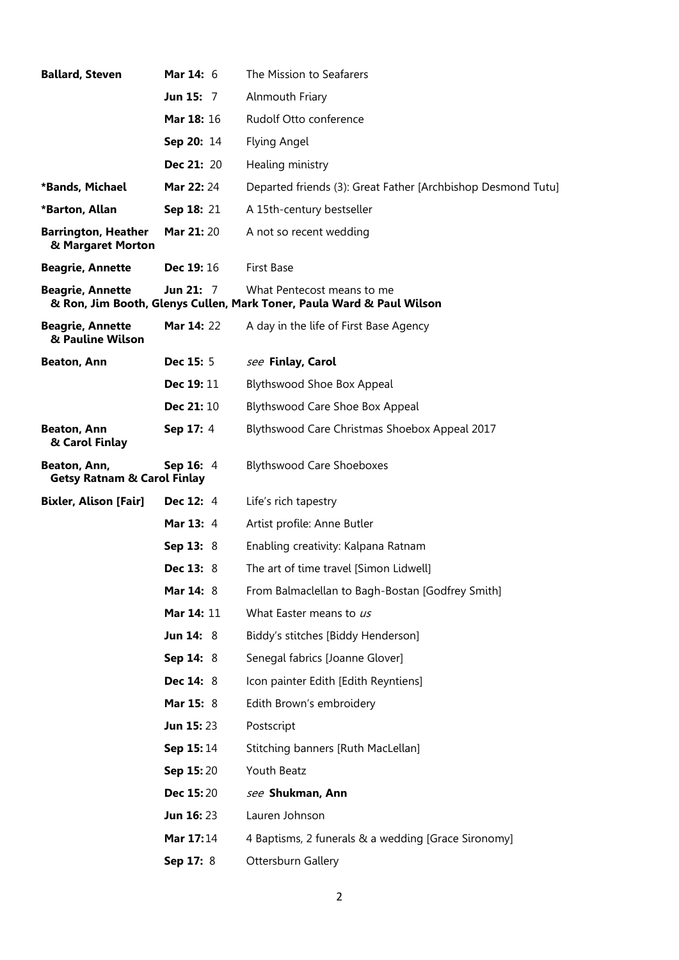| <b>Ballard, Steven</b>                                 | <b>Mar 14: 6</b>  | The Mission to Seafarers                                                                            |
|--------------------------------------------------------|-------------------|-----------------------------------------------------------------------------------------------------|
|                                                        | Jun 15: 7         | Alnmouth Friary                                                                                     |
|                                                        | Mar 18: 16        | Rudolf Otto conference                                                                              |
|                                                        | Sep 20: 14        | Flying Angel                                                                                        |
|                                                        | <b>Dec 21: 20</b> | Healing ministry                                                                                    |
| *Bands, Michael                                        | Mar 22: 24        | Departed friends (3): Great Father [Archbishop Desmond Tutu]                                        |
| *Barton, Allan                                         | Sep 18: 21        | A 15th-century bestseller                                                                           |
| <b>Barrington, Heather</b><br>& Margaret Morton        | <b>Mar 21: 20</b> | A not so recent wedding                                                                             |
| <b>Beagrie, Annette</b>                                | <b>Dec 19: 16</b> | <b>First Base</b>                                                                                   |
| <b>Beagrie, Annette</b>                                | Jun 21: $7$       | What Pentecost means to me<br>& Ron, Jim Booth, Glenys Cullen, Mark Toner, Paula Ward & Paul Wilson |
| <b>Beagrie, Annette</b><br>& Pauline Wilson            | <b>Mar 14: 22</b> | A day in the life of First Base Agency                                                              |
| <b>Beaton, Ann</b>                                     | <b>Dec 15: 5</b>  | see Finlay, Carol                                                                                   |
|                                                        | Dec 19: 11        | <b>Blythswood Shoe Box Appeal</b>                                                                   |
|                                                        | Dec 21: 10        | Blythswood Care Shoe Box Appeal                                                                     |
| <b>Beaton, Ann</b><br>& Carol Finlay                   | Sep 17: 4         | Blythswood Care Christmas Shoebox Appeal 2017                                                       |
| Beaton, Ann,<br><b>Getsy Ratnam &amp; Carol Finlay</b> | Sep 16: 4         | <b>Blythswood Care Shoeboxes</b>                                                                    |
| <b>Bixler, Alison [Fair]</b>                           | <b>Dec 12: 4</b>  | Life's rich tapestry                                                                                |
|                                                        | <b>Mar 13: 4</b>  | Artist profile: Anne Butler                                                                         |
|                                                        | Sep 13: 8         | Enabling creativity: Kalpana Ratnam                                                                 |
|                                                        | <b>Dec 13: 8</b>  | The art of time travel [Simon Lidwell]                                                              |
|                                                        | Mar 14: 8         | From Balmaclellan to Bagh-Bostan [Godfrey Smith]                                                    |
|                                                        | Mar 14: 11        | What Easter means to us                                                                             |
|                                                        | <b>Jun 14: 8</b>  | Biddy's stitches [Biddy Henderson]                                                                  |
|                                                        | Sep 14: 8         | Senegal fabrics [Joanne Glover]                                                                     |
|                                                        | Dec 14: 8         | Icon painter Edith [Edith Reyntiens]                                                                |
|                                                        | Mar 15: 8         | Edith Brown's embroidery                                                                            |
|                                                        | <b>Jun 15:23</b>  | Postscript                                                                                          |
|                                                        | Sep 15:14         | Stitching banners [Ruth MacLellan]                                                                  |
|                                                        | Sep 15:20         | Youth Beatz                                                                                         |
|                                                        | <b>Dec 15:20</b>  | see Shukman, Ann                                                                                    |
|                                                        | <b>Jun 16: 23</b> | Lauren Johnson                                                                                      |
|                                                        | <b>Mar 17:14</b>  | 4 Baptisms, 2 funerals & a wedding [Grace Sironomy]                                                 |
|                                                        | Sep 17: 8         | Ottersburn Gallery                                                                                  |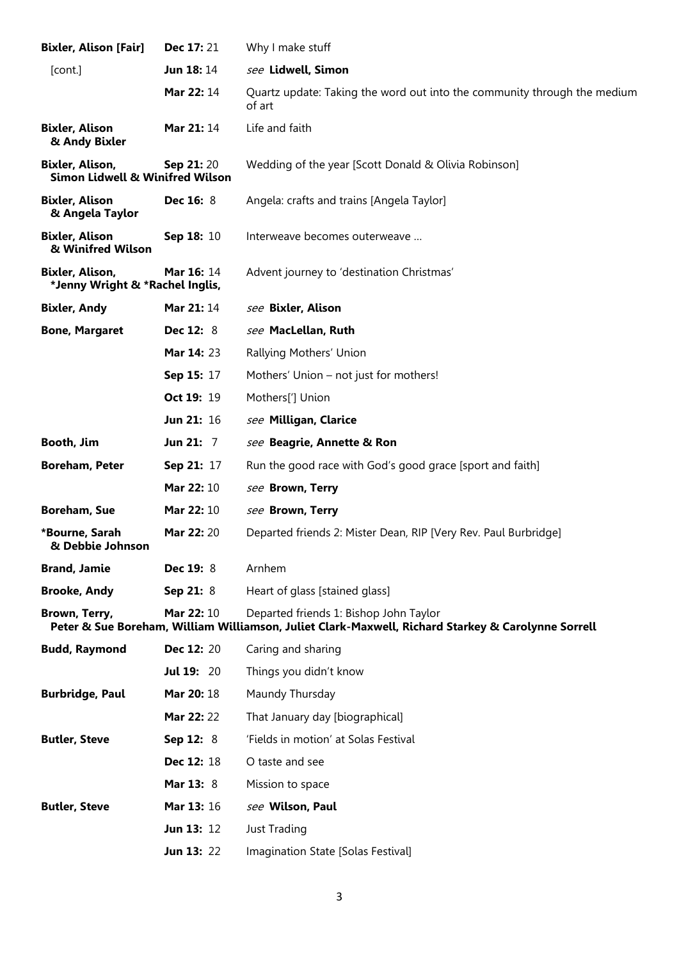| <b>Bixler, Alison [Fair]</b>                                  | Dec 17: 21        | Why I make stuff                                                                                                                             |
|---------------------------------------------------------------|-------------------|----------------------------------------------------------------------------------------------------------------------------------------------|
| [cont.]                                                       | Jun 18:14         | see Lidwell, Simon                                                                                                                           |
|                                                               | <b>Mar 22: 14</b> | Quartz update: Taking the word out into the community through the medium<br>of art                                                           |
| <b>Bixler, Alison</b><br>& Andy Bixler                        | <b>Mar 21: 14</b> | Life and faith                                                                                                                               |
| Bixler, Alison,<br><b>Simon Lidwell &amp; Winifred Wilson</b> | <b>Sep 21:20</b>  | Wedding of the year [Scott Donald & Olivia Robinson]                                                                                         |
| <b>Bixler, Alison</b><br>& Angela Taylor                      | <b>Dec 16: 8</b>  | Angela: crafts and trains [Angela Taylor]                                                                                                    |
| <b>Bixler, Alison</b><br>& Winifred Wilson                    | Sep 18: 10        | Interweave becomes outerweave                                                                                                                |
| Bixler, Alison,<br>*Jenny Wright & *Rachel Inglis,            | <b>Mar 16: 14</b> | Advent journey to 'destination Christmas'                                                                                                    |
| <b>Bixler, Andy</b>                                           | <b>Mar 21: 14</b> | see Bixler, Alison                                                                                                                           |
| <b>Bone, Margaret</b>                                         | <b>Dec 12: 8</b>  | see MacLellan, Ruth                                                                                                                          |
|                                                               | Mar 14: 23        | Rallying Mothers' Union                                                                                                                      |
|                                                               | Sep 15: 17        | Mothers' Union - not just for mothers!                                                                                                       |
|                                                               | Oct 19: 19        | Mothers['] Union                                                                                                                             |
|                                                               | Jun 21: 16        | see Milligan, Clarice                                                                                                                        |
| Booth, Jim                                                    | Jun 21: 7         | see Beagrie, Annette & Ron                                                                                                                   |
| <b>Boreham, Peter</b>                                         | Sep 21: 17        | Run the good race with God's good grace [sport and faith]                                                                                    |
|                                                               | Mar 22: 10        | see Brown, Terry                                                                                                                             |
| <b>Boreham, Sue</b>                                           | Mar 22: 10        | see Brown, Terry                                                                                                                             |
| *Bourne, Sarah<br>& Debbie Johnson                            | Mar 22: 20        | Departed friends 2: Mister Dean, RIP [Very Rev. Paul Burbridge]                                                                              |
| <b>Brand, Jamie</b>                                           | Dec 19: 8         | Arnhem                                                                                                                                       |
| <b>Brooke, Andy</b>                                           | Sep 21: $8$       | Heart of glass [stained glass]                                                                                                               |
| Brown, Terry,                                                 | <b>Mar 22: 10</b> | Departed friends 1: Bishop John Taylor<br>Peter & Sue Boreham, William Williamson, Juliet Clark-Maxwell, Richard Starkey & Carolynne Sorrell |
| <b>Budd, Raymond</b>                                          | <b>Dec 12: 20</b> | Caring and sharing                                                                                                                           |
|                                                               | <b>Jul 19: 20</b> | Things you didn't know                                                                                                                       |
| <b>Burbridge, Paul</b>                                        | <b>Mar 20: 18</b> | Maundy Thursday                                                                                                                              |
|                                                               | Mar 22: 22        | That January day [biographical]                                                                                                              |
| <b>Butler, Steve</b>                                          | <b>Sep 12: 8</b>  | 'Fields in motion' at Solas Festival                                                                                                         |
|                                                               | Dec 12: 18        | O taste and see                                                                                                                              |
|                                                               | Mar 13: 8         | Mission to space                                                                                                                             |
| <b>Butler, Steve</b>                                          | <b>Mar 13: 16</b> | see Wilson, Paul                                                                                                                             |
|                                                               | <b>Jun 13: 12</b> | <b>Just Trading</b>                                                                                                                          |
|                                                               | <b>Jun 13: 22</b> | Imagination State [Solas Festival]                                                                                                           |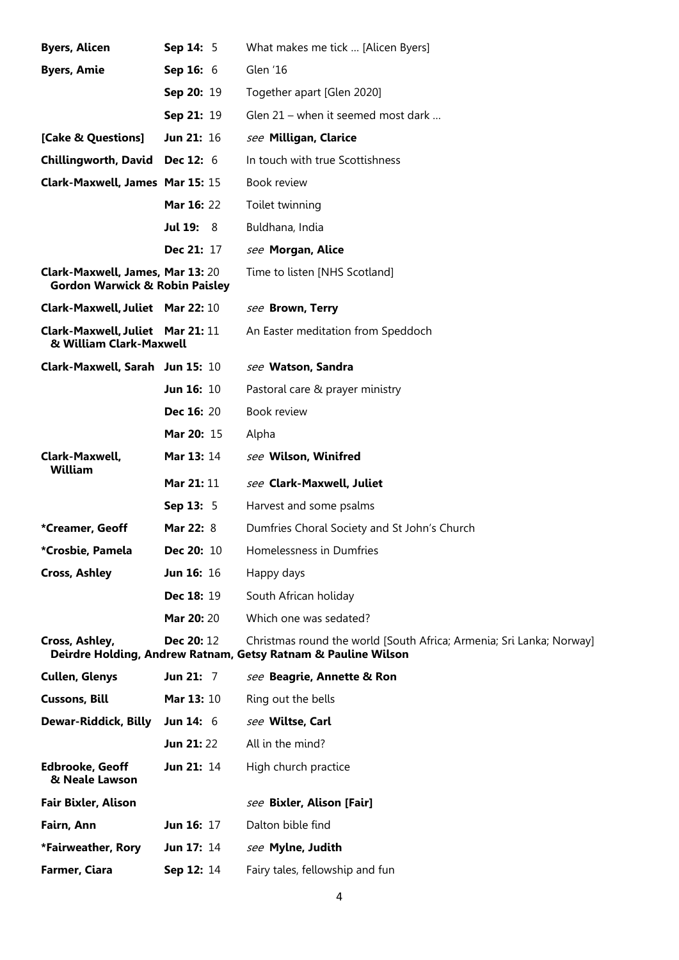| <b>Byers, Alicen</b>                                                          | Sep 14: 5         | What makes me tick  [Alicen Byers]                                                                                                    |
|-------------------------------------------------------------------------------|-------------------|---------------------------------------------------------------------------------------------------------------------------------------|
| <b>Byers, Amie</b>                                                            | Sep 16: 6         | Glen '16                                                                                                                              |
|                                                                               | Sep 20: 19        | Together apart [Glen 2020]                                                                                                            |
|                                                                               | Sep 21: 19        | Glen 21 – when it seemed most dark                                                                                                    |
| [Cake & Questions]                                                            | Jun 21: 16        | see Milligan, Clarice                                                                                                                 |
| <b>Chillingworth, David</b>                                                   | <b>Dec 12: 6</b>  | In touch with true Scottishness                                                                                                       |
| Clark-Maxwell, James Mar 15: 15                                               |                   | <b>Book review</b>                                                                                                                    |
|                                                                               | <b>Mar 16: 22</b> | Toilet twinning                                                                                                                       |
|                                                                               | <b>Jul 19: 8</b>  | Buldhana, India                                                                                                                       |
|                                                                               | <b>Dec 21: 17</b> | see Morgan, Alice                                                                                                                     |
| Clark-Maxwell, James, Mar 13: 20<br><b>Gordon Warwick &amp; Robin Paisley</b> |                   | Time to listen [NHS Scotland]                                                                                                         |
| Clark-Maxwell, Juliet Mar 22: 10                                              |                   | see Brown, Terry                                                                                                                      |
| Clark-Maxwell, Juliet Mar 21: 11<br>& William Clark-Maxwell                   |                   | An Easter meditation from Speddoch                                                                                                    |
| Clark-Maxwell, Sarah Jun 15: 10                                               |                   | see Watson, Sandra                                                                                                                    |
|                                                                               | Jun 16: 10        | Pastoral care & prayer ministry                                                                                                       |
|                                                                               | <b>Dec 16: 20</b> | Book review                                                                                                                           |
|                                                                               | Mar 20: 15        | Alpha                                                                                                                                 |
| Clark-Maxwell,<br>William                                                     | Mar 13: 14        | see Wilson, Winifred                                                                                                                  |
|                                                                               | <b>Mar 21: 11</b> | see Clark-Maxwell, Juliet                                                                                                             |
|                                                                               | Sep 13: 5         | Harvest and some psalms                                                                                                               |
| *Creamer, Geoff                                                               | Mar 22: 8         | Dumfries Choral Society and St John's Church                                                                                          |
| *Crosbie, Pamela                                                              | <b>Dec 20: 10</b> | Homelessness in Dumfries                                                                                                              |
| <b>Cross, Ashley</b>                                                          | <b>Jun 16: 16</b> | Happy days                                                                                                                            |
|                                                                               | Dec 18: 19        | South African holiday                                                                                                                 |
|                                                                               | Mar 20: 20        | Which one was sedated?                                                                                                                |
| Cross, Ashley,                                                                | Dec 20: 12        | Christmas round the world [South Africa; Armenia; Sri Lanka; Norway]<br>Deirdre Holding, Andrew Ratnam, Getsy Ratnam & Pauline Wilson |
| <b>Cullen, Glenys</b>                                                         | Jun 21: $7$       | see Beagrie, Annette & Ron                                                                                                            |
| <b>Cussons, Bill</b>                                                          | <b>Mar 13: 10</b> | Ring out the bells                                                                                                                    |
| Dewar-Riddick, Billy                                                          | <b>Jun 14: 6</b>  | see Wiltse, Carl                                                                                                                      |
|                                                                               | <b>Jun 21:22</b>  | All in the mind?                                                                                                                      |
| <b>Edbrooke, Geoff</b><br>& Neale Lawson                                      | Jun 21: 14        | High church practice                                                                                                                  |
| Fair Bixler, Alison                                                           |                   | see Bixler, Alison [Fair]                                                                                                             |
| Fairn, Ann                                                                    | Jun 16: 17        | Dalton bible find                                                                                                                     |
| *Fairweather, Rory                                                            | <b>Jun 17: 14</b> | see Mylne, Judith                                                                                                                     |
| Farmer, Ciara                                                                 | Sep 12: 14        | Fairy tales, fellowship and fun                                                                                                       |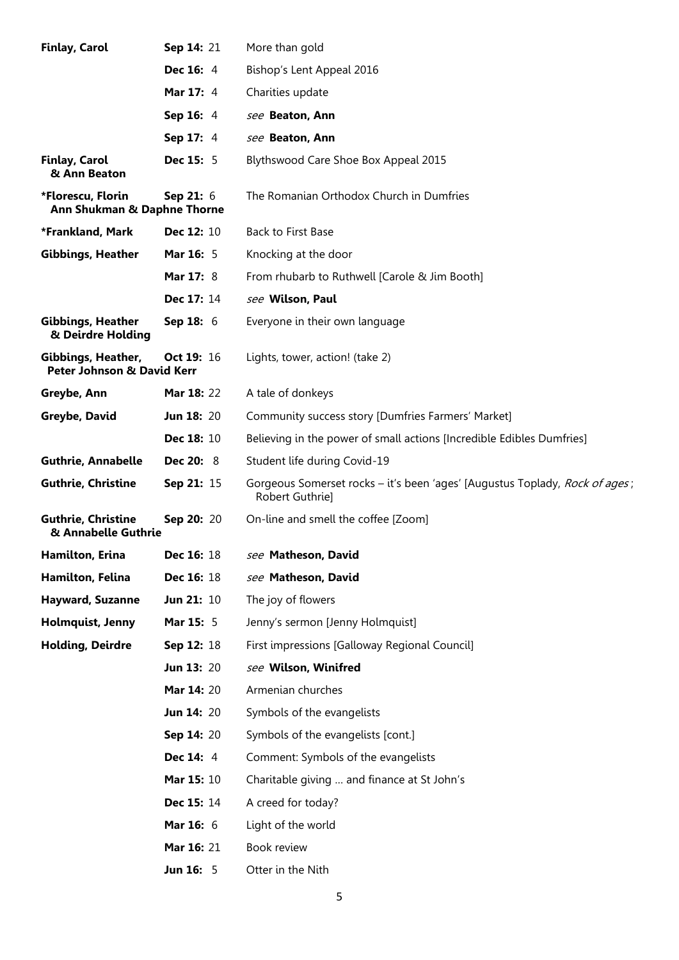| <b>Finlay, Carol</b>                                        | Sep 14: 21        | More than gold                                                                                 |
|-------------------------------------------------------------|-------------------|------------------------------------------------------------------------------------------------|
|                                                             | <b>Dec 16: 4</b>  | Bishop's Lent Appeal 2016                                                                      |
|                                                             | <b>Mar 17: 4</b>  | Charities update                                                                               |
|                                                             | Sep 16: 4         | see Beaton, Ann                                                                                |
|                                                             | Sep 17: 4         | see Beaton, Ann                                                                                |
| <b>Finlay, Carol</b><br>& Ann Beaton                        | <b>Dec 15: 5</b>  | Blythswood Care Shoe Box Appeal 2015                                                           |
| *Florescu, Florin<br>Ann Shukman & Daphne Thorne            | Sep 21: 6         | The Romanian Orthodox Church in Dumfries                                                       |
| *Frankland, Mark                                            | Dec 12: 10        | <b>Back to First Base</b>                                                                      |
| <b>Gibbings, Heather</b>                                    | <b>Mar 16: 5</b>  | Knocking at the door                                                                           |
|                                                             | <b>Mar 17: 8</b>  | From rhubarb to Ruthwell [Carole & Jim Booth]                                                  |
|                                                             | Dec 17: 14        | see Wilson, Paul                                                                               |
| <b>Gibbings, Heather</b><br>& Deirdre Holding               | Sep 18: 6         | Everyone in their own language                                                                 |
| Gibbings, Heather,<br><b>Peter Johnson &amp; David Kerr</b> | Oct 19: 16        | Lights, tower, action! (take 2)                                                                |
| Greybe, Ann                                                 | <b>Mar 18: 22</b> | A tale of donkeys                                                                              |
| Greybe, David                                               | <b>Jun 18: 20</b> | Community success story [Dumfries Farmers' Market]                                             |
|                                                             | Dec 18: 10        | Believing in the power of small actions [Incredible Edibles Dumfries]                          |
| <b>Guthrie, Annabelle</b>                                   | <b>Dec 20: 8</b>  | Student life during Covid-19                                                                   |
| <b>Guthrie, Christine</b>                                   | Sep 21: 15        | Gorgeous Somerset rocks - it's been 'ages' [Augustus Toplady, Rock of ages;<br>Robert Guthrie] |
| <b>Guthrie, Christine</b><br>& Annabelle Guthrie            | Sep 20: 20        | On-line and smell the coffee [Zoom]                                                            |
| Hamilton, Erina                                             | Dec 16: 18        | see Matheson, David                                                                            |
| Hamilton, Felina                                            | <b>Dec 16: 18</b> | see Matheson, David                                                                            |
| <b>Hayward, Suzanne</b>                                     | <b>Jun 21: 10</b> | The joy of flowers                                                                             |
| Holmquist, Jenny                                            | Mar 15: 5         | Jenny's sermon [Jenny Holmquist]                                                               |
| <b>Holding, Deirdre</b>                                     | Sep 12: 18        | First impressions [Galloway Regional Council]                                                  |
|                                                             | <b>Jun 13: 20</b> | see Wilson, Winifred                                                                           |
|                                                             | Mar 14: 20        | Armenian churches                                                                              |
|                                                             | <b>Jun 14: 20</b> | Symbols of the evangelists                                                                     |
|                                                             | Sep 14: 20        | Symbols of the evangelists [cont.]                                                             |
|                                                             | <b>Dec 14: 4</b>  | Comment: Symbols of the evangelists                                                            |
|                                                             | <b>Mar 15: 10</b> | Charitable giving  and finance at St John's                                                    |
|                                                             | Dec 15: 14        | A creed for today?                                                                             |
|                                                             | Mar 16: 6         | Light of the world                                                                             |
|                                                             | <b>Mar 16: 21</b> | Book review                                                                                    |
|                                                             | <b>Jun 16: 5</b>  | Otter in the Nith                                                                              |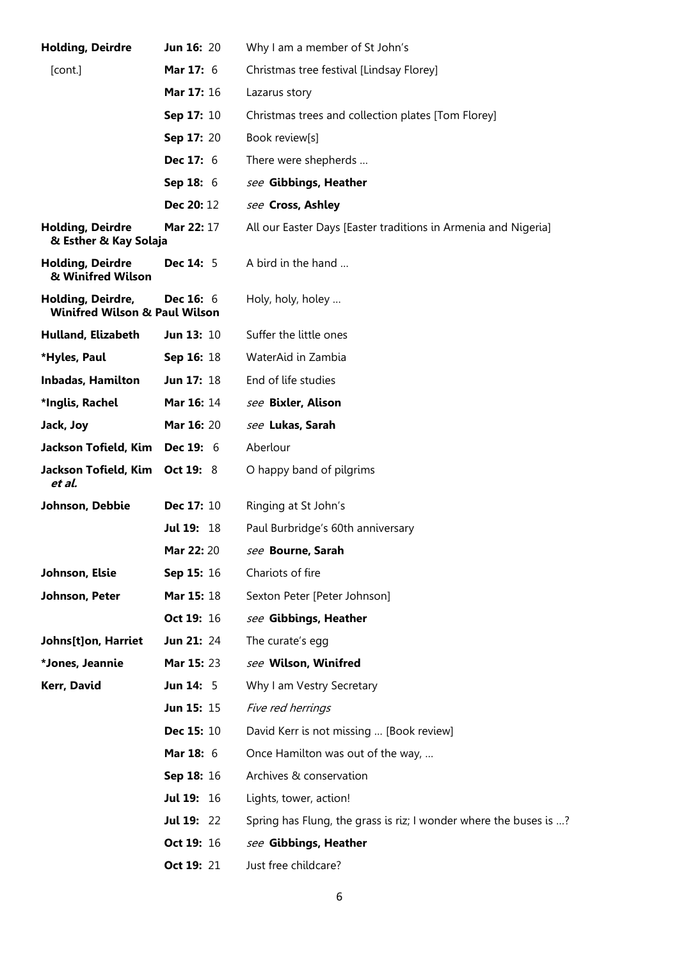| <b>Holding, Deirdre</b>                                       | <b>Jun 16: 20</b> | Why I am a member of St John's                                    |
|---------------------------------------------------------------|-------------------|-------------------------------------------------------------------|
| [cont.]                                                       | Mar 17: 6         | Christmas tree festival [Lindsay Florey]                          |
|                                                               | Mar 17: 16        | Lazarus story                                                     |
|                                                               | Sep 17: 10        | Christmas trees and collection plates [Tom Florey]                |
|                                                               | Sep 17: 20        | Book review[s]                                                    |
|                                                               | <b>Dec 17: 6</b>  | There were shepherds                                              |
|                                                               | Sep 18: 6         | see Gibbings, Heather                                             |
|                                                               | Dec 20: 12        | see Cross, Ashley                                                 |
| <b>Holding, Deirdre</b><br>& Esther & Kay Solaja              | Mar 22: 17        | All our Easter Days [Easter traditions in Armenia and Nigeria]    |
| <b>Holding, Deirdre</b><br>& Winifred Wilson                  | <b>Dec 14: 5</b>  | A bird in the hand                                                |
| Holding, Deirdre,<br><b>Winifred Wilson &amp; Paul Wilson</b> | <b>Dec 16: 6</b>  | Holy, holy, holey                                                 |
| Hulland, Elizabeth                                            | <b>Jun 13: 10</b> | Suffer the little ones                                            |
| *Hyles, Paul                                                  | Sep 16: 18        | WaterAid in Zambia                                                |
| <b>Inbadas, Hamilton</b>                                      | Jun 17: 18        | End of life studies                                               |
| *Inglis, Rachel                                               | Mar 16: 14        | see Bixler, Alison                                                |
| Jack, Joy                                                     | Mar 16: 20        | see Lukas, Sarah                                                  |
| Jackson Tofield, Kim                                          | <b>Dec 19: 6</b>  | Aberlour                                                          |
| Jackson Tofield, Kim<br>et al.                                | <b>Oct 19: 8</b>  | O happy band of pilgrims                                          |
| Johnson, Debbie                                               | Dec 17: 10        | Ringing at St John's                                              |
|                                                               | <b>Jul 19: 18</b> | Paul Burbridge's 60th anniversary                                 |
|                                                               | <b>Mar 22: 20</b> | see Bourne, Sarah                                                 |
| Johnson, Elsie                                                | Sep 15: 16        | Chariots of fire                                                  |
| Johnson, Peter                                                | Mar 15: 18        | Sexton Peter [Peter Johnson]                                      |
|                                                               | Oct 19: 16        | see Gibbings, Heather                                             |
| Johns[t]on, Harriet                                           | <b>Jun 21: 24</b> | The curate's egg                                                  |
| *Jones, Jeannie                                               | Mar 15: 23        | see Wilson, Winifred                                              |
| Kerr, David                                                   | <b>Jun 14: 5</b>  | Why I am Vestry Secretary                                         |
|                                                               | <b>Jun 15: 15</b> | Five red herrings                                                 |
|                                                               | <b>Dec 15: 10</b> | David Kerr is not missing  [Book review]                          |
|                                                               | Mar 18: 6         | Once Hamilton was out of the way,                                 |
|                                                               | Sep 18: 16        | Archives & conservation                                           |
|                                                               | <b>Jul 19: 16</b> | Lights, tower, action!                                            |
|                                                               | <b>Jul 19: 22</b> | Spring has Flung, the grass is riz; I wonder where the buses is ? |
|                                                               | Oct 19: 16        | see Gibbings, Heather                                             |
|                                                               | Oct 19: 21        | Just free childcare?                                              |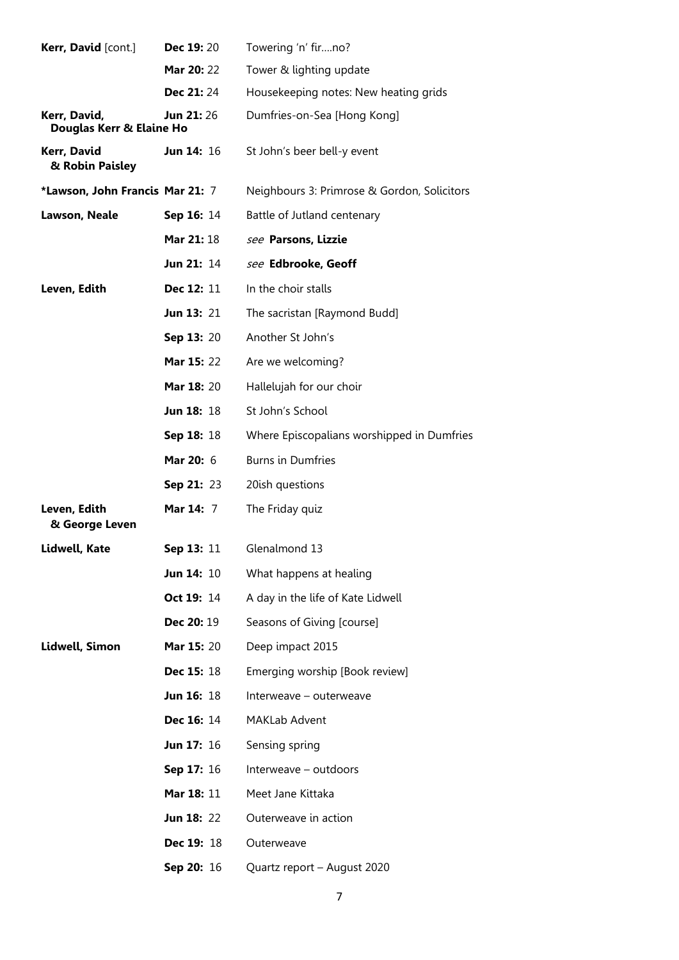| Kerr, David [cont.]                      | <b>Dec 19: 20</b> | Towering 'n' firno?                         |
|------------------------------------------|-------------------|---------------------------------------------|
|                                          | Mar 20: 22        | Tower & lighting update                     |
|                                          | Dec 21:24         | Housekeeping notes: New heating grids       |
| Kerr, David,<br>Douglas Kerr & Elaine Ho | <b>Jun 21: 26</b> | Dumfries-on-Sea [Hong Kong]                 |
| Kerr, David<br>& Robin Paisley           | <b>Jun 14: 16</b> | St John's beer bell-y event                 |
| *Lawson, John Francis Mar 21: 7          |                   | Neighbours 3: Primrose & Gordon, Solicitors |
| Lawson, Neale                            | Sep 16: 14        | Battle of Jutland centenary                 |
|                                          | <b>Mar 21: 18</b> | see Parsons, Lizzie                         |
|                                          | Jun 21: 14        | see Edbrooke, Geoff                         |
| Leven, Edith                             | Dec 12: 11        | In the choir stalls                         |
|                                          | Jun 13: 21        | The sacristan [Raymond Budd]                |
|                                          | Sep 13: 20        | Another St John's                           |
|                                          | Mar 15: 22        | Are we welcoming?                           |
|                                          | <b>Mar 18: 20</b> | Hallelujah for our choir                    |
|                                          | <b>Jun 18: 18</b> | St John's School                            |
|                                          | Sep 18: 18        | Where Episcopalians worshipped in Dumfries  |
|                                          | <b>Mar 20:</b> 6  | <b>Burns in Dumfries</b>                    |
|                                          | Sep 21: 23        | 20ish questions                             |
| Leven, Edith<br>& George Leven           | <b>Mar 14: 7</b>  | The Friday quiz                             |
| Lidwell, Kate                            | <b>Sep 13: 11</b> | Glenalmond 13                               |
|                                          | <b>Jun 14: 10</b> | What happens at healing                     |
|                                          | <b>Oct 19: 14</b> | A day in the life of Kate Lidwell           |
|                                          | <b>Dec 20: 19</b> | Seasons of Giving [course]                  |
| Lidwell, Simon                           | <b>Mar 15: 20</b> | Deep impact 2015                            |
|                                          | <b>Dec 15: 18</b> | Emerging worship [Book review]              |
|                                          | <b>Jun 16: 18</b> | Interweave – outerweave                     |
|                                          | <b>Dec 16: 14</b> | MAKLab Advent                               |
|                                          | <b>Jun 17: 16</b> | Sensing spring                              |
|                                          | <b>Sep 17: 16</b> | Interweave - outdoors                       |
|                                          | Mar 18: 11        | Meet Jane Kittaka                           |
|                                          | <b>Jun 18: 22</b> | Outerweave in action                        |
|                                          | <b>Dec 19: 18</b> | Outerweave                                  |
|                                          | Sep 20: 16        | Quartz report - August 2020                 |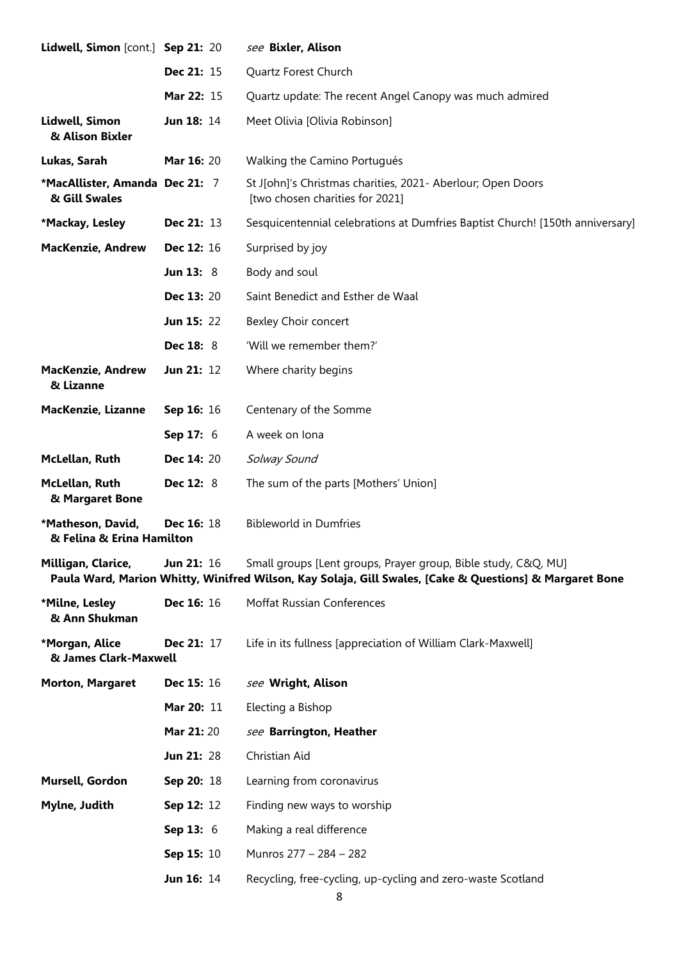| Lidwell, Simon [cont.] Sep 21: 20               |                   | see Bixler, Alison                                                                                                                                                        |
|-------------------------------------------------|-------------------|---------------------------------------------------------------------------------------------------------------------------------------------------------------------------|
|                                                 | <b>Dec 21: 15</b> | Quartz Forest Church                                                                                                                                                      |
|                                                 | Mar 22: 15        | Quartz update: The recent Angel Canopy was much admired                                                                                                                   |
| Lidwell, Simon<br>& Alison Bixler               | <b>Jun 18: 14</b> | Meet Olivia [Olivia Robinson]                                                                                                                                             |
| Lukas, Sarah                                    | Mar 16: 20        | Walking the Camino Portugués                                                                                                                                              |
| *MacAllister, Amanda Dec 21: 7<br>& Gill Swales |                   | St J[ohn]'s Christmas charities, 2021- Aberlour; Open Doors<br>[two chosen charities for 2021]                                                                            |
| *Mackay, Lesley                                 | Dec 21: 13        | Sesquicentennial celebrations at Dumfries Baptist Church! [150th anniversary]                                                                                             |
| <b>MacKenzie, Andrew</b>                        | Dec 12: 16        | Surprised by joy                                                                                                                                                          |
|                                                 | <b>Jun 13: 8</b>  | Body and soul                                                                                                                                                             |
|                                                 | <b>Dec 13: 20</b> | Saint Benedict and Esther de Waal                                                                                                                                         |
|                                                 | <b>Jun 15: 22</b> | Bexley Choir concert                                                                                                                                                      |
|                                                 | <b>Dec 18: 8</b>  | 'Will we remember them?'                                                                                                                                                  |
| <b>MacKenzie, Andrew</b><br>& Lizanne           | Jun 21: 12        | Where charity begins                                                                                                                                                      |
| MacKenzie, Lizanne                              | Sep 16: 16        | Centenary of the Somme                                                                                                                                                    |
|                                                 | Sep 17: 6         | A week on lona                                                                                                                                                            |
| McLellan, Ruth                                  | <b>Dec 14: 20</b> | Solway Sound                                                                                                                                                              |
| McLellan, Ruth<br>& Margaret Bone               | <b>Dec 12: 8</b>  | The sum of the parts [Mothers' Union]                                                                                                                                     |
| *Matheson, David,<br>& Felina & Erina Hamilton  | <b>Dec 16: 18</b> | <b>Bibleworld in Dumfries</b>                                                                                                                                             |
| Milligan, Clarice,                              | <b>Jun 21: 16</b> | Small groups [Lent groups, Prayer group, Bible study, C&Q, MU]<br>Paula Ward, Marion Whitty, Winifred Wilson, Kay Solaja, Gill Swales, [Cake & Questions] & Margaret Bone |
| *Milne, Lesley<br>& Ann Shukman                 | Dec 16: 16        | <b>Moffat Russian Conferences</b>                                                                                                                                         |
| *Morgan, Alice<br>& James Clark-Maxwell         | Dec 21: 17        | Life in its fullness [appreciation of William Clark-Maxwell]                                                                                                              |
| <b>Morton, Margaret</b>                         | <b>Dec 15: 16</b> | see Wright, Alison                                                                                                                                                        |
|                                                 | Mar 20: 11        | Electing a Bishop                                                                                                                                                         |
|                                                 | Mar 21:20         | see Barrington, Heather                                                                                                                                                   |
|                                                 | <b>Jun 21: 28</b> | Christian Aid                                                                                                                                                             |
| Mursell, Gordon                                 | Sep 20: 18        | Learning from coronavirus                                                                                                                                                 |
| Mylne, Judith                                   | Sep 12: 12        | Finding new ways to worship                                                                                                                                               |
|                                                 | Sep 13: 6         | Making a real difference                                                                                                                                                  |
|                                                 | Sep 15: 10        | Munros 277 - 284 - 282                                                                                                                                                    |
|                                                 | <b>Jun 16: 14</b> | Recycling, free-cycling, up-cycling and zero-waste Scotland                                                                                                               |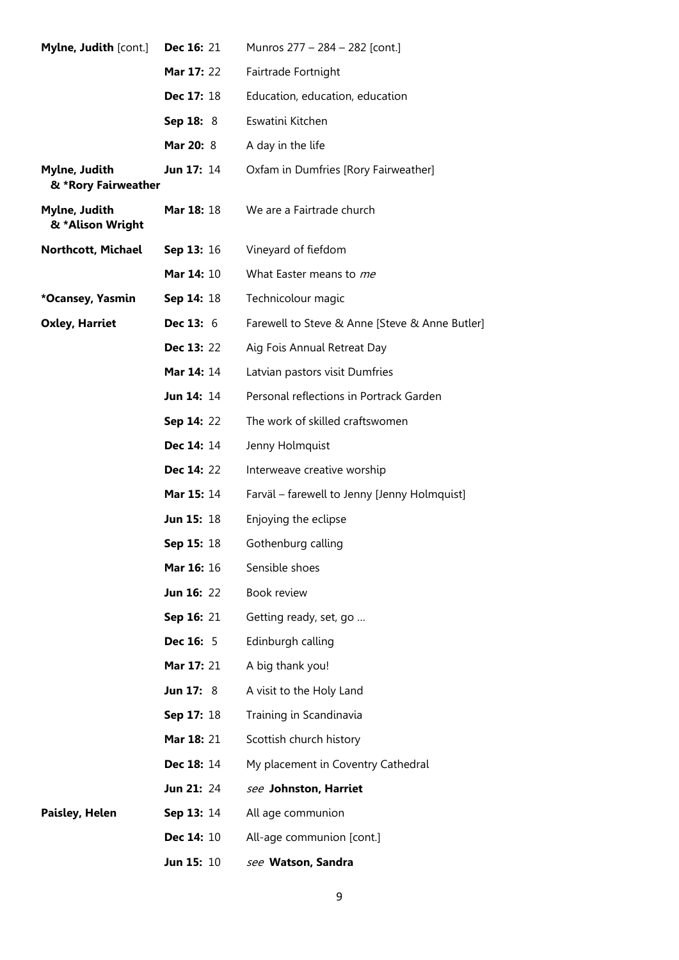| Mylne, Judith [cont.]                | <b>Dec 16: 21</b>  | Munros 277 - 284 - 282 [cont.]                 |
|--------------------------------------|--------------------|------------------------------------------------|
|                                      | <b>Mar 17: 22</b>  | Fairtrade Fortnight                            |
|                                      | Dec 17: 18         | Education, education, education                |
|                                      | <b>Sep 18: 8</b>   | Eswatini Kitchen                               |
|                                      | Mar 20: 8          | A day in the life                              |
| Mylne, Judith<br>& *Rory Fairweather | <b>Jun 17: 14</b>  | Oxfam in Dumfries [Rory Fairweather]           |
| Mylne, Judith<br>& *Alison Wright    | Mar 18: 18         | We are a Fairtrade church                      |
| <b>Northcott, Michael</b>            | <b>Sep 13: 16</b>  | Vineyard of fiefdom                            |
|                                      | <b>Mar 14: 10</b>  | What Easter means to me                        |
| *Ocansey, Yasmin                     | <b>Sep 14: 18</b>  | Technicolour magic                             |
| <b>Oxley, Harriet</b>                | <b>Dec 13:</b> $6$ | Farewell to Steve & Anne [Steve & Anne Butler] |
|                                      | <b>Dec 13: 22</b>  | Aig Fois Annual Retreat Day                    |
|                                      | Mar 14: 14         | Latvian pastors visit Dumfries                 |
|                                      | Jun 14: 14         | Personal reflections in Portrack Garden        |
|                                      | <b>Sep 14: 22</b>  | The work of skilled craftswomen                |
|                                      | <b>Dec 14: 14</b>  | Jenny Holmquist                                |
|                                      | <b>Dec 14: 22</b>  | Interweave creative worship                    |
|                                      | Mar 15: 14         | Farväl - farewell to Jenny [Jenny Holmquist]   |
|                                      | <b>Jun 15: 18</b>  | Enjoying the eclipse                           |
|                                      | <b>Sep 15: 18</b>  | Gothenburg calling                             |
|                                      | <b>Mar 16: 16</b>  | Sensible shoes                                 |
|                                      | <b>Jun 16: 22</b>  | <b>Book review</b>                             |
|                                      | <b>Sep 16: 21</b>  | Getting ready, set, go                         |
|                                      | <b>Dec 16:</b> 5   | Edinburgh calling                              |
|                                      | Mar 17: 21         | A big thank you!                               |
|                                      | <b>Jun 17: 8</b>   | A visit to the Holy Land                       |
|                                      | <b>Sep 17: 18</b>  | Training in Scandinavia                        |
|                                      | <b>Mar 18: 21</b>  | Scottish church history                        |
|                                      | <b>Dec 18: 14</b>  | My placement in Coventry Cathedral             |
|                                      | <b>Jun 21: 24</b>  | see Johnston, Harriet                          |
| Paisley, Helen                       | <b>Sep 13: 14</b>  | All age communion                              |
|                                      | <b>Dec 14: 10</b>  | All-age communion [cont.]                      |
|                                      | <b>Jun 15: 10</b>  | see Watson, Sandra                             |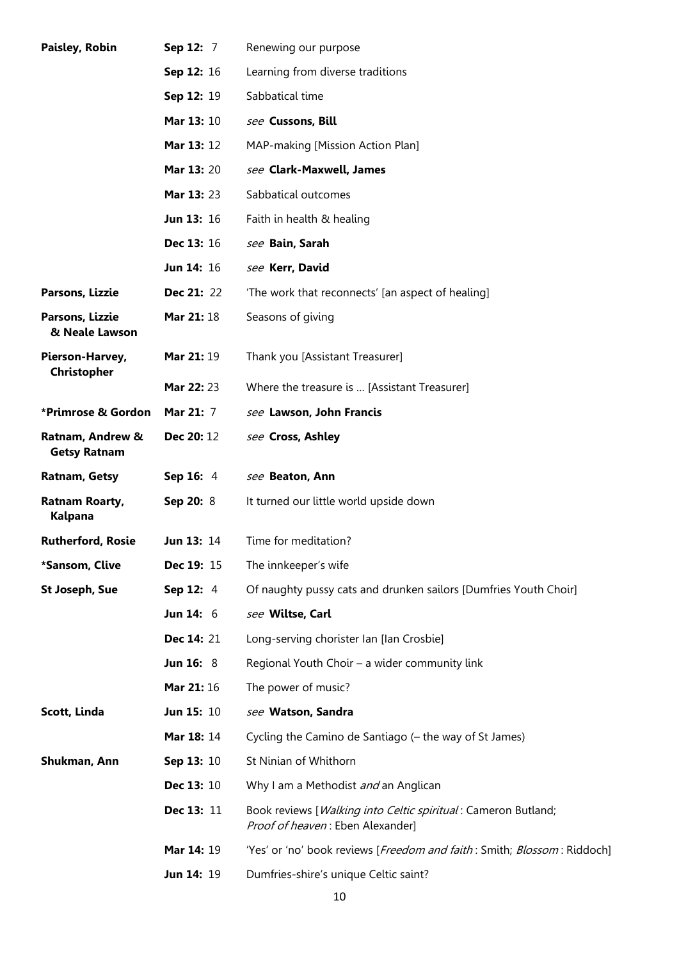| Paisley, Robin                          | Sep 12: 7         | Renewing our purpose                                                                              |
|-----------------------------------------|-------------------|---------------------------------------------------------------------------------------------------|
|                                         | Sep 12: 16        | Learning from diverse traditions                                                                  |
|                                         | Sep 12: 19        | Sabbatical time                                                                                   |
|                                         | <b>Mar 13: 10</b> | see Cussons, Bill                                                                                 |
|                                         | <b>Mar 13: 12</b> | MAP-making [Mission Action Plan]                                                                  |
|                                         | <b>Mar 13: 20</b> | see Clark-Maxwell, James                                                                          |
|                                         | Mar 13: 23        | Sabbatical outcomes                                                                               |
|                                         | Jun 13: 16        | Faith in health & healing                                                                         |
|                                         | <b>Dec 13: 16</b> | see Bain, Sarah                                                                                   |
|                                         | Jun 14: 16        | see Kerr, David                                                                                   |
| Parsons, Lizzie                         | <b>Dec 21: 22</b> | 'The work that reconnects' [an aspect of healing]                                                 |
| Parsons, Lizzie<br>& Neale Lawson       | Mar 21: 18        | Seasons of giving                                                                                 |
| Pierson-Harvey,<br>Christopher          | Mar 21: 19        | Thank you [Assistant Treasurer]                                                                   |
|                                         | <b>Mar 22: 23</b> | Where the treasure is  [Assistant Treasurer]                                                      |
| *Primrose & Gordon                      | Mar 21: 7         | see Lawson, John Francis                                                                          |
| Ratnam, Andrew &<br><b>Getsy Ratnam</b> | Dec 20: 12        | see Cross, Ashley                                                                                 |
|                                         |                   |                                                                                                   |
| Ratnam, Getsy                           | Sep 16: 4         | see Beaton, Ann                                                                                   |
| Ratnam Roarty,<br>Kalpana               | Sep 20: 8         | It turned our little world upside down                                                            |
| <b>Rutherford, Rosie</b>                | <b>Jun 13: 14</b> | Time for meditation?                                                                              |
| *Sansom, Clive                          | Dec 19: 15        | The innkeeper's wife                                                                              |
| <b>St Joseph, Sue</b>                   | Sep 12: 4         | Of naughty pussy cats and drunken sailors [Dumfries Youth Choir]                                  |
|                                         | Jun $14:6$        | see Wiltse, Carl                                                                                  |
|                                         | Dec 14: 21        | Long-serving chorister Ian [Ian Crosbie]                                                          |
|                                         | <b>Jun 16: 8</b>  | Regional Youth Choir - a wider community link                                                     |
|                                         | Mar 21: 16        | The power of music?                                                                               |
| Scott, Linda                            | <b>Jun 15: 10</b> | see Watson, Sandra                                                                                |
|                                         | <b>Mar 18: 14</b> | Cycling the Camino de Santiago (- the way of St James)                                            |
| Shukman, Ann                            | Sep 13: 10        | St Ninian of Whithorn                                                                             |
|                                         | Dec 13: 10        | Why I am a Methodist and an Anglican                                                              |
|                                         | Dec 13: 11        | Book reviews [Walking into Celtic spiritual: Cameron Butland;<br>Proof of heaven: Eben Alexander] |
|                                         | Mar 14: 19        | 'Yes' or 'no' book reviews [Freedom and faith: Smith; Blossom: Riddoch]                           |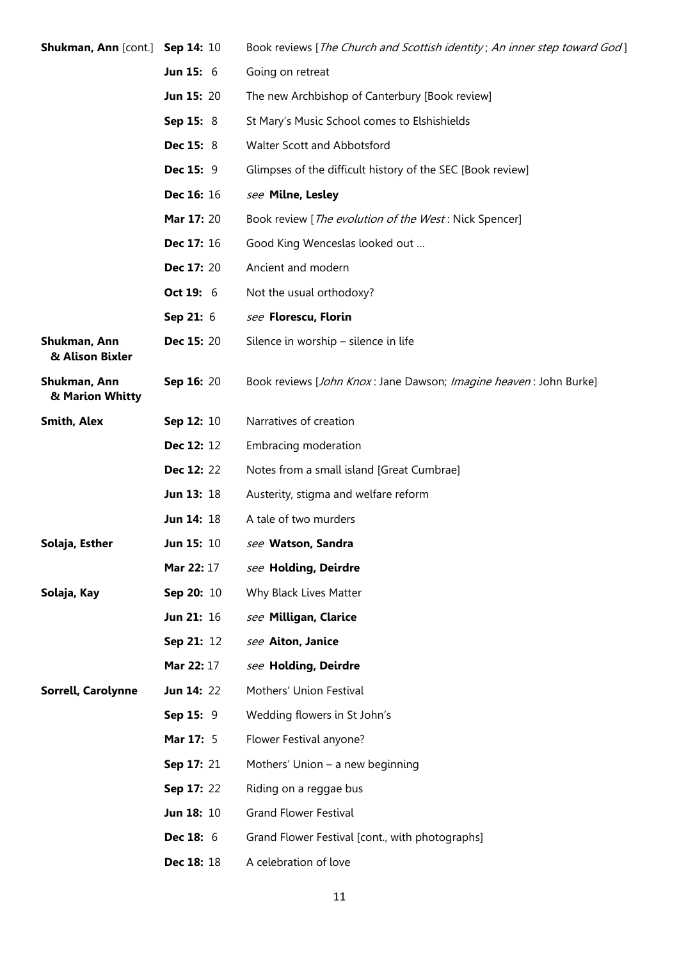| Shukman, Ann [cont.] Sep 14: 10 |                   | Book reviews [The Church and Scottish identity; An inner step toward God] |
|---------------------------------|-------------------|---------------------------------------------------------------------------|
|                                 | <b>Jun 15: 6</b>  | Going on retreat                                                          |
|                                 | <b>Jun 15: 20</b> | The new Archbishop of Canterbury [Book review]                            |
|                                 | Sep 15: 8         | St Mary's Music School comes to Elshishields                              |
|                                 | <b>Dec 15: 8</b>  | Walter Scott and Abbotsford                                               |
|                                 | <b>Dec 15: 9</b>  | Glimpses of the difficult history of the SEC [Book review]                |
|                                 | Dec 16: 16        | see Milne, Lesley                                                         |
|                                 | Mar 17: 20        | Book review [The evolution of the West: Nick Spencer]                     |
|                                 | Dec 17: 16        | Good King Wenceslas looked out                                            |
|                                 | <b>Dec 17: 20</b> | Ancient and modern                                                        |
|                                 | Oct 19: 6         | Not the usual orthodoxy?                                                  |
|                                 | Sep 21: 6         | see Florescu, Florin                                                      |
| Shukman, Ann<br>& Alison Bixler | <b>Dec 15: 20</b> | Silence in worship - silence in life                                      |
| Shukman, Ann<br>& Marion Whitty | Sep 16: 20        | Book reviews [John Knox: Jane Dawson; Imagine heaven: John Burke]         |
| <b>Smith, Alex</b>              | Sep 12: 10        | Narratives of creation                                                    |
|                                 | Dec 12: 12        | Embracing moderation                                                      |
|                                 | <b>Dec 12: 22</b> | Notes from a small island [Great Cumbrae]                                 |
|                                 | Jun 13: 18        | Austerity, stigma and welfare reform                                      |
|                                 | <b>Jun 14: 18</b> | A tale of two murders                                                     |
| Solaja, Esther                  | <b>Jun 15: 10</b> | see Watson, Sandra                                                        |
|                                 | <b>Mar 22: 17</b> | see Holding, Deirdre                                                      |
| Solaja, Kay                     | Sep 20: 10        | Why Black Lives Matter                                                    |
|                                 | <b>Jun 21: 16</b> | see Milligan, Clarice                                                     |
|                                 | Sep 21: 12        | see Aiton, Janice                                                         |
|                                 | <b>Mar 22: 17</b> | see Holding, Deirdre                                                      |
| Sorrell, Carolynne              | <b>Jun 14: 22</b> | Mothers' Union Festival                                                   |
|                                 | Sep 15: 9         | Wedding flowers in St John's                                              |
|                                 | Mar 17: 5         | Flower Festival anyone?                                                   |
|                                 | Sep 17: 21        | Mothers' Union - a new beginning                                          |
|                                 | Sep 17: 22        | Riding on a reggae bus                                                    |
|                                 | <b>Jun 18: 10</b> | <b>Grand Flower Festival</b>                                              |
|                                 | <b>Dec 18: 6</b>  | Grand Flower Festival [cont., with photographs]                           |
|                                 | <b>Dec 18: 18</b> | A celebration of love                                                     |
|                                 |                   |                                                                           |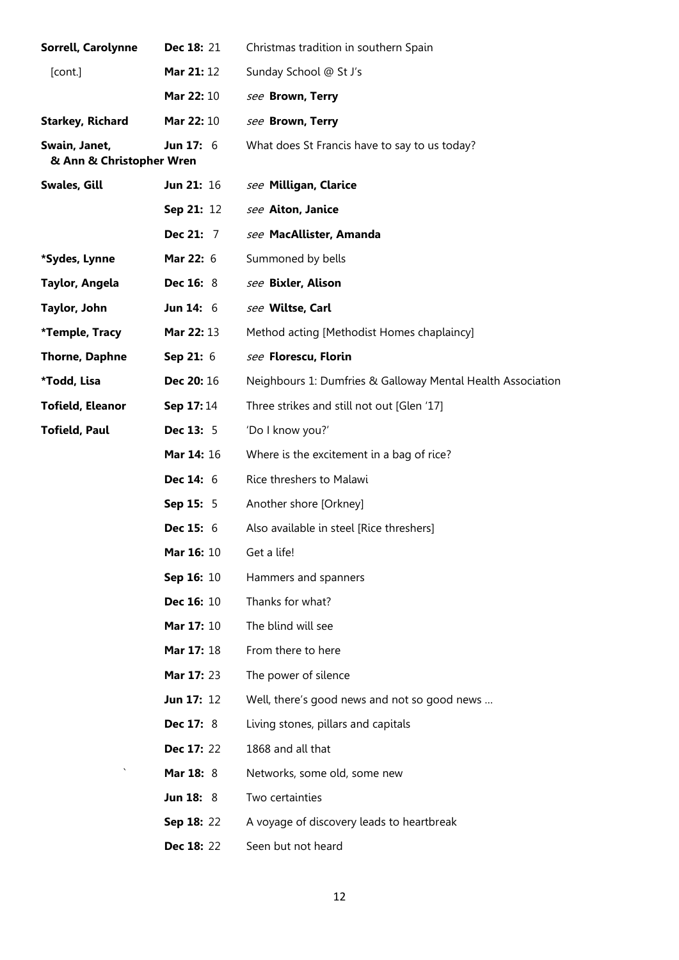| Sorrell, Carolynne                        | Dec 18: 21        | Christmas tradition in southern Spain                       |
|-------------------------------------------|-------------------|-------------------------------------------------------------|
| [cont.]                                   | Mar 21: 12        | Sunday School @ St J's                                      |
|                                           | Mar 22: 10        | see Brown, Terry                                            |
| <b>Starkey, Richard</b>                   | Mar 22: 10        | see Brown, Terry                                            |
| Swain, Janet,<br>& Ann & Christopher Wren | Jun 17: $6$       | What does St Francis have to say to us today?               |
| Swales, Gill                              | <b>Jun 21: 16</b> | see Milligan, Clarice                                       |
|                                           | Sep 21: 12        | see Aiton, Janice                                           |
|                                           | Dec 21: 7         | see MacAllister, Amanda                                     |
| *Sydes, Lynne                             | Mar 22: 6         | Summoned by bells                                           |
| Taylor, Angela                            | <b>Dec 16: 8</b>  | see Bixler, Alison                                          |
| Taylor, John                              | Jun $14:6$        | see Wiltse, Carl                                            |
| *Temple, Tracy                            | Mar 22: 13        | Method acting [Methodist Homes chaplaincy]                  |
| <b>Thorne, Daphne</b>                     | Sep 21: 6         | see Florescu, Florin                                        |
| *Todd, Lisa                               | Dec 20: 16        | Neighbours 1: Dumfries & Galloway Mental Health Association |
| <b>Tofield, Eleanor</b>                   | Sep 17:14         | Three strikes and still not out [Glen '17]                  |
| <b>Tofield, Paul</b>                      | <b>Dec 13: 5</b>  | 'Do I know you?'                                            |
|                                           | Mar 14: 16        | Where is the excitement in a bag of rice?                   |
|                                           | Dec 14: 6         | Rice threshers to Malawi                                    |
|                                           | Sep 15: 5         | Another shore [Orkney]                                      |
|                                           | <b>Dec 15: 6</b>  | Also available in steel [Rice threshers]                    |
|                                           | <b>Mar 16: 10</b> | Get a life!                                                 |
|                                           | <b>Sep 16: 10</b> | Hammers and spanners                                        |
|                                           | <b>Dec 16: 10</b> | Thanks for what?                                            |
|                                           | Mar 17: 10        | The blind will see                                          |
|                                           | Mar 17: 18        | From there to here                                          |
|                                           | Mar 17: 23        | The power of silence                                        |
|                                           | <b>Jun 17: 12</b> | Well, there's good news and not so good news                |
|                                           | <b>Dec 17: 8</b>  | Living stones, pillars and capitals                         |
|                                           | Dec 17: 22        | 1868 and all that                                           |
|                                           | Mar 18: 8         | Networks, some old, some new                                |
|                                           | <b>Jun 18: 8</b>  | Two certainties                                             |
|                                           | <b>Sep 18: 22</b> | A voyage of discovery leads to heartbreak                   |
|                                           | <b>Dec 18: 22</b> | Seen but not heard                                          |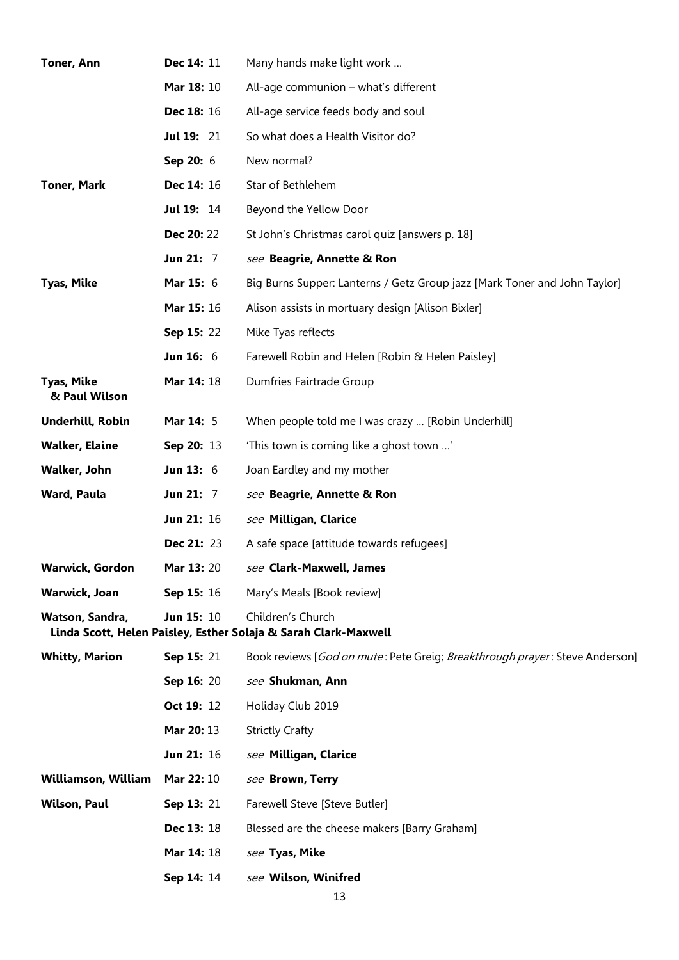| <b>Toner, Ann</b>                  | Dec 14: 11        | Many hands make light work                                                           |
|------------------------------------|-------------------|--------------------------------------------------------------------------------------|
|                                    | Mar 18: 10        | All-age communion – what's different                                                 |
|                                    | <b>Dec 18: 16</b> | All-age service feeds body and soul                                                  |
|                                    | <b>Jul 19: 21</b> | So what does a Health Visitor do?                                                    |
|                                    | Sep 20: 6         | New normal?                                                                          |
| <b>Toner, Mark</b>                 | Dec 14: 16        | Star of Bethlehem                                                                    |
|                                    | Jul 19: 14        | Beyond the Yellow Door                                                               |
|                                    | <b>Dec 20: 22</b> | St John's Christmas carol quiz [answers p. 18]                                       |
|                                    | Jun 21: 7         | see Beagrie, Annette & Ron                                                           |
| <b>Tyas, Mike</b>                  | <b>Mar 15: 6</b>  | Big Burns Supper: Lanterns / Getz Group jazz [Mark Toner and John Taylor]            |
|                                    | Mar 15: 16        | Alison assists in mortuary design [Alison Bixler]                                    |
|                                    | Sep 15: 22        | Mike Tyas reflects                                                                   |
|                                    | <b>Jun 16: 6</b>  | Farewell Robin and Helen [Robin & Helen Paisley]                                     |
| <b>Tyas, Mike</b><br>& Paul Wilson | Mar 14: 18        | Dumfries Fairtrade Group                                                             |
| Underhill, Robin                   | Mar 14: 5         | When people told me I was crazy  [Robin Underhill]                                   |
| <b>Walker, Elaine</b>              | Sep 20: 13        | 'This town is coming like a ghost town '                                             |
| Walker, John                       | Jun 13: $6$       | Joan Eardley and my mother                                                           |
| Ward, Paula                        | <b>Jun 21: 7</b>  | see Beagrie, Annette & Ron                                                           |
|                                    | Jun 21: 16        | see Milligan, Clarice                                                                |
|                                    | <b>Dec 21: 23</b> | A safe space [attitude towards refugees]                                             |
| <b>Warwick, Gordon</b>             | Mar 13: 20        | see Clark-Maxwell, James                                                             |
| Warwick, Joan                      | Sep 15: 16        | Mary's Meals [Book review]                                                           |
| Watson, Sandra,                    | <b>Jun 15: 10</b> | Children's Church<br>Linda Scott, Helen Paisley, Esther Solaja & Sarah Clark-Maxwell |
| <b>Whitty, Marion</b>              | <b>Sep 15: 21</b> | Book reviews [God on mute: Pete Greig; Breakthrough prayer: Steve Anderson]          |
|                                    | Sep 16: 20        | see Shukman, Ann                                                                     |
|                                    | Oct 19: 12        | Holiday Club 2019                                                                    |
|                                    | Mar 20: 13        | <b>Strictly Crafty</b>                                                               |
|                                    | <b>Jun 21: 16</b> | see Milligan, Clarice                                                                |
| Williamson, William                | Mar 22: 10        | see Brown, Terry                                                                     |
| Wilson, Paul                       | Sep 13: 21        | Farewell Steve [Steve Butler]                                                        |
|                                    | Dec 13: 18        | Blessed are the cheese makers [Barry Graham]                                         |
|                                    | Mar 14: 18        | see Tyas, Mike                                                                       |
|                                    | Sep 14: 14        | see Wilson, Winifred                                                                 |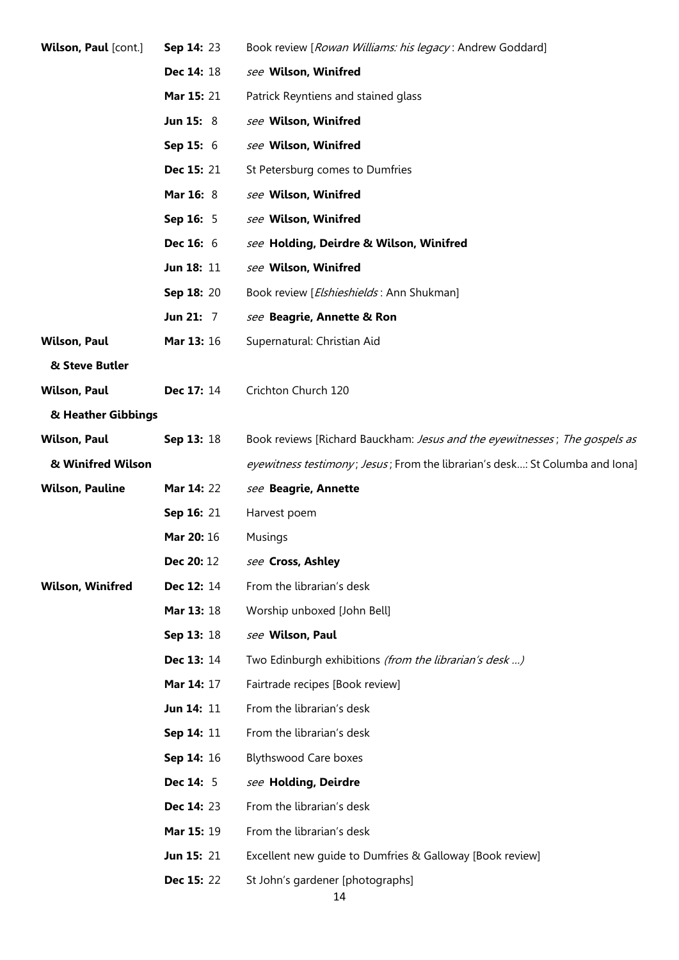| <b>Wilson, Paul</b> [cont.] | <b>Sep 14: 23</b> | Book review [Rowan Williams: his legacy: Andrew Goddard]                     |
|-----------------------------|-------------------|------------------------------------------------------------------------------|
|                             | Dec 14: 18        | see Wilson, Winifred                                                         |
|                             | <b>Mar 15: 21</b> | Patrick Reyntiens and stained glass                                          |
|                             | <b>Jun 15: 8</b>  | see Wilson, Winifred                                                         |
|                             | <b>Sep 15: 6</b>  | see Wilson, Winifred                                                         |
|                             | <b>Dec 15: 21</b> | St Petersburg comes to Dumfries                                              |
|                             | Mar 16: 8         | see Wilson, Winifred                                                         |
|                             | Sep 16: 5         | see Wilson, Winifred                                                         |
|                             | <b>Dec 16: 6</b>  | see Holding, Deirdre & Wilson, Winifred                                      |
|                             | Jun 18: 11        | see Wilson, Winifred                                                         |
|                             | Sep 18: 20        | Book review [Elshieshields: Ann Shukman]                                     |
|                             | <b>Jun 21: 7</b>  | see Beagrie, Annette & Ron                                                   |
| <b>Wilson, Paul</b>         | <b>Mar 13: 16</b> | Supernatural: Christian Aid                                                  |
| & Steve Butler              |                   |                                                                              |
| <b>Wilson, Paul</b>         | Dec 17: 14        | Crichton Church 120                                                          |
| & Heather Gibbings          |                   |                                                                              |
| <b>Wilson, Paul</b>         | Sep 13: 18        | Book reviews [Richard Bauckham: Jesus and the eyewitnesses; The gospels as   |
| & Winifred Wilson           |                   | eyewitness testimony; Jesus; From the librarian's desk: St Columba and lona] |
| <b>Wilson, Pauline</b>      | Mar 14: 22        | see Beagrie, Annette                                                         |
|                             | Sep 16: 21        | Harvest poem                                                                 |
|                             | Mar 20: 16        | Musings                                                                      |
|                             | Dec 20: 12        | see Cross, Ashley                                                            |
| <b>Wilson, Winifred</b>     | Dec 12: 14        | From the librarian's desk                                                    |
|                             | Mar 13: 18        | Worship unboxed [John Bell]                                                  |
|                             | Sep 13: 18        | see Wilson, Paul                                                             |
|                             | Dec 13: 14        | Two Edinburgh exhibitions (from the librarian's desk )                       |
|                             | Mar 14: 17        | Fairtrade recipes [Book review]                                              |
|                             | Jun 14: 11        | From the librarian's desk                                                    |
|                             | Sep 14: 11        | From the librarian's desk                                                    |
|                             | Sep 14: 16        | <b>Blythswood Care boxes</b>                                                 |
|                             | <b>Dec 14: 5</b>  | see Holding, Deirdre                                                         |
|                             | Dec 14: 23        | From the librarian's desk                                                    |
|                             | Mar 15: 19        | From the librarian's desk                                                    |
|                             | <b>Jun 15: 21</b> | Excellent new guide to Dumfries & Galloway [Book review]                     |
|                             | <b>Dec 15: 22</b> | St John's gardener [photographs]<br>14                                       |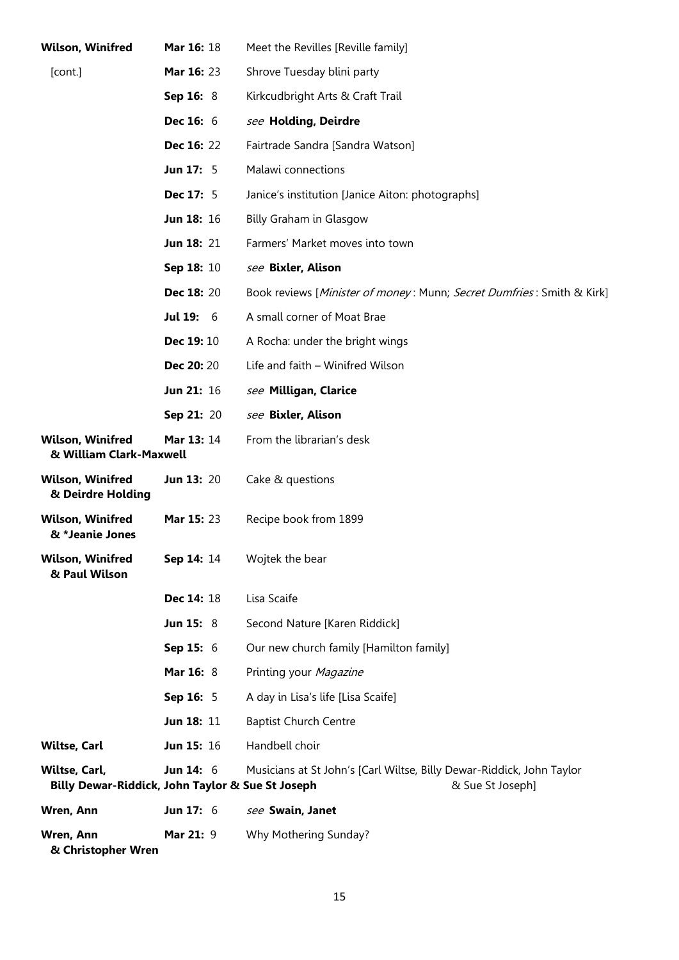| <b>Wilson, Winifred</b>                                           | Mar 16: 18        | Meet the Revilles [Reville family]                                                        |
|-------------------------------------------------------------------|-------------------|-------------------------------------------------------------------------------------------|
| [cont.]                                                           | Mar 16: 23        | Shrove Tuesday blini party                                                                |
|                                                                   | Sep 16: 8         | Kirkcudbright Arts & Craft Trail                                                          |
|                                                                   | <b>Dec 16: 6</b>  | see Holding, Deirdre                                                                      |
|                                                                   | Dec 16: 22        | Fairtrade Sandra [Sandra Watson]                                                          |
|                                                                   | <b>Jun 17: 5</b>  | Malawi connections                                                                        |
|                                                                   | Dec 17: 5         | Janice's institution [Janice Aiton: photographs]                                          |
|                                                                   | Jun 18: 16        | Billy Graham in Glasgow                                                                   |
|                                                                   | <b>Jun 18: 21</b> | Farmers' Market moves into town                                                           |
|                                                                   | Sep 18: 10        | see Bixler, Alison                                                                        |
|                                                                   | Dec 18: 20        | Book reviews [Minister of money: Munn; Secret Dumfries: Smith & Kirk]                     |
|                                                                   | <b>Jul 19: 6</b>  | A small corner of Moat Brae                                                               |
|                                                                   | Dec 19: 10        | A Rocha: under the bright wings                                                           |
|                                                                   | Dec 20: 20        | Life and faith - Winifred Wilson                                                          |
|                                                                   | Jun 21: 16        | see Milligan, Clarice                                                                     |
|                                                                   | Sep 21: 20        | see Bixler, Alison                                                                        |
| <b>Wilson, Winifred</b><br>& William Clark-Maxwell                | Mar 13: 14        | From the librarian's desk                                                                 |
| <b>Wilson, Winifred</b><br>& Deirdre Holding                      | <b>Jun 13: 20</b> | Cake & questions                                                                          |
| <b>Wilson, Winifred</b><br>& *Jeanie Jones                        | Mar 15: 23        | Recipe book from 1899                                                                     |
| <b>Wilson, Winifred</b><br>& Paul Wilson                          | Sep 14: 14        | Wojtek the bear                                                                           |
|                                                                   | Dec 14: 18        | Lisa Scaife                                                                               |
|                                                                   | <b>Jun 15: 8</b>  | Second Nature [Karen Riddick]                                                             |
|                                                                   | Sep 15: 6         | Our new church family [Hamilton family]                                                   |
|                                                                   | Mar 16: 8         | Printing your Magazine                                                                    |
|                                                                   | Sep 16: 5         | A day in Lisa's life [Lisa Scaife]                                                        |
|                                                                   | Jun 18: 11        | <b>Baptist Church Centre</b>                                                              |
| <b>Wiltse, Carl</b>                                               | Jun 15: 16        | Handbell choir                                                                            |
| Wiltse, Carl,<br>Billy Dewar-Riddick, John Taylor & Sue St Joseph | <b>Jun 14: 6</b>  | Musicians at St John's [Carl Wiltse, Billy Dewar-Riddick, John Taylor<br>& Sue St Joseph] |
| Wren, Ann                                                         | Jun 17: $6$       | see Swain, Janet                                                                          |
| Wren, Ann<br>& Christopher Wren                                   | Mar 21: 9         | Why Mothering Sunday?                                                                     |